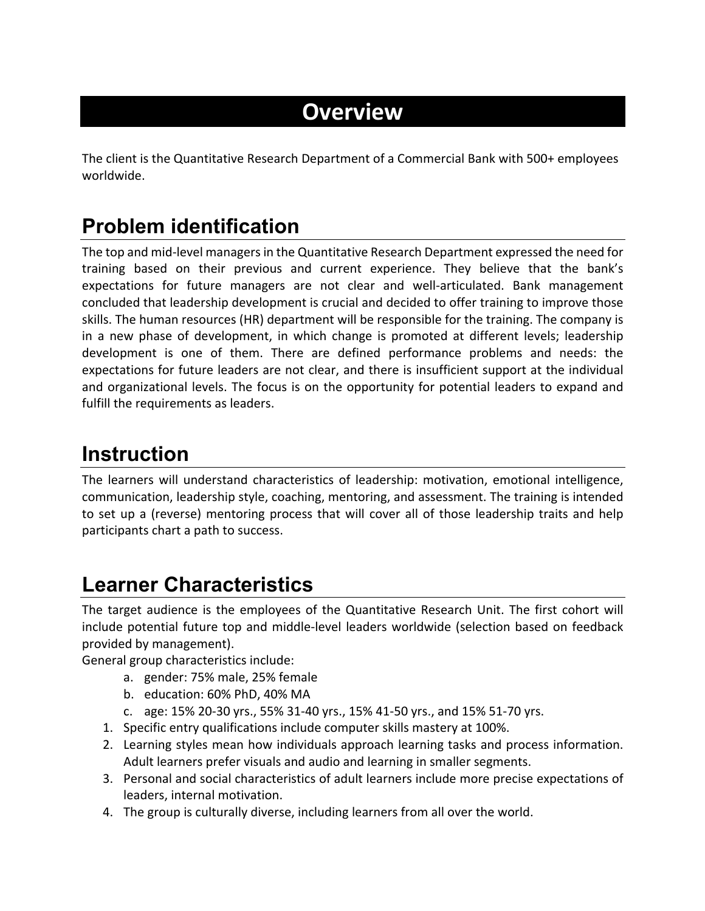# **Overview**

The client is the Quantitative Research Department of a Commercial Bank with 500+ employees worldwide.

## **Problem identification**

The top and mid-level managers in the Quantitative Research Department expressed the need for training based on their previous and current experience. They believe that the bank's expectations for future managers are not clear and well-articulated. Bank management concluded that leadership development is crucial and decided to offer training to improve those skills. The human resources (HR) department will be responsible for the training. The company is in a new phase of development, in which change is promoted at different levels; leadership development is one of them. There are defined performance problems and needs: the expectations for future leaders are not clear, and there is insufficient support at the individual and organizational levels. The focus is on the opportunity for potential leaders to expand and fulfill the requirements as leaders.

#### **Instruction**

The learners will understand characteristics of leadership: motivation, emotional intelligence, communication, leadership style, coaching, mentoring, and assessment. The training is intended to set up a (reverse) mentoring process that will cover all of those leadership traits and help participants chart a path to success.

## **Learner Characteristics**

The target audience is the employees of the Quantitative Research Unit. The first cohort will include potential future top and middle-level leaders worldwide (selection based on feedback provided by management).

General group characteristics include:

- a. gender: 75% male, 25% female
- b. education: 60% PhD, 40% MA
- c. age: 15% 20-30 yrs., 55% 31-40 yrs., 15% 41-50 yrs., and 15% 51-70 yrs.
- 1. Specific entry qualifications include computer skills mastery at 100%.
- 2. Learning styles mean how individuals approach learning tasks and process information. Adult learners prefer visuals and audio and learning in smaller segments.
- 3. Personal and social characteristics of adult learners include more precise expectations of leaders, internal motivation.
- 4. The group is culturally diverse, including learners from all over the world.